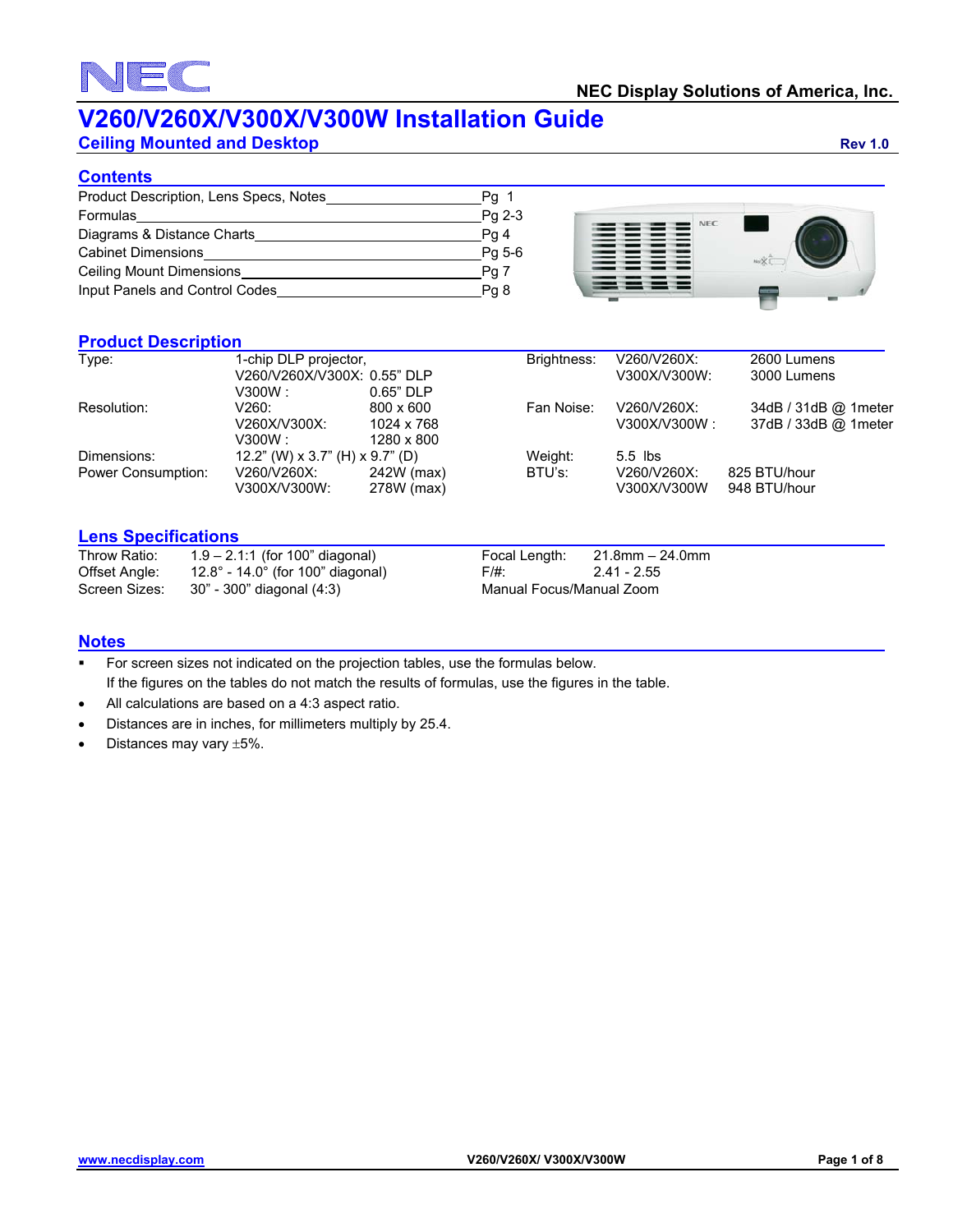# EC

### **V260/V260X/V300X/V300W Installation Guide**

**Ceiling Mounted and Desktop Rev 1.0 Rev 1.0** 

### **Contents**

| Product Description, Lens Specs, Notes_ | $Pg_{1}$ |
|-----------------------------------------|----------|
| Formulas                                | Pg 2-3   |
| Diagrams & Distance Charts              | Pq 4     |
| <b>Cabinet Dimensions</b>               | Pg 5-6   |
| Ceiling Mount Dimensions                | Pg 7     |
| Input Panels and Control Codes          | Pg 8     |



### **Product Description**

| Type:              | 1-chip DLP projector,<br>V260/V260X/V300X: 0.55" DLP |             | Brightness: | V260/V260X:<br>V300X/V300W: | 2600 Lumens<br>3000 Lumens |
|--------------------|------------------------------------------------------|-------------|-------------|-----------------------------|----------------------------|
|                    | V300W : -                                            | $0.65"$ DLP |             |                             |                            |
| Resolution:        | V260:                                                | 800 x 600   | Fan Noise:  | V260/V260X:                 | 34dB / 31dB @ 1meter       |
|                    | V260X/V300X:                                         | 1024 x 768  |             | V300X/V300W :               | 37dB / 33dB @ 1meter       |
|                    | V300W : -                                            | 1280 x 800  |             |                             |                            |
| Dimensions:        | 12.2" (W) x 3.7" (H) x 9.7" (D)                      |             | Weight:     | $5.5$ lbs                   |                            |
| Power Consumption: | V260/V260X:                                          | 242W (max)  | BTU's:      | V260/V260X:                 | 825 BTU/hour               |
|                    | V300X/V300W:                                         | 278W (max)  |             | V300X/V300W                 | 948 BTU/hour               |
|                    |                                                      |             |             |                             |                            |

### **Lens Specifications**

| Throw Ratio:  | $1.9 - 2.1:1$ (for 100" diagonal)                     |                          | Focal Length: $21.8$ mm $-24.0$ mm |
|---------------|-------------------------------------------------------|--------------------------|------------------------------------|
| Offset Angle: | 12.8 $^{\circ}$ - 14.0 $^{\circ}$ (for 100" diagonal) | F/#:                     | 2.41 - 2.55                        |
|               | Screen Sizes: 30" - 300" diagonal (4:3)               | Manual Focus/Manual Zoom |                                    |

### **Notes**

- For screen sizes not indicated on the projection tables, use the formulas below. If the figures on the tables do not match the results of formulas, use the figures in the table.
- All calculations are based on a 4:3 aspect ratio.
- Distances are in inches, for millimeters multiply by 25.4.
- Distances may vary  $\pm 5\%$ .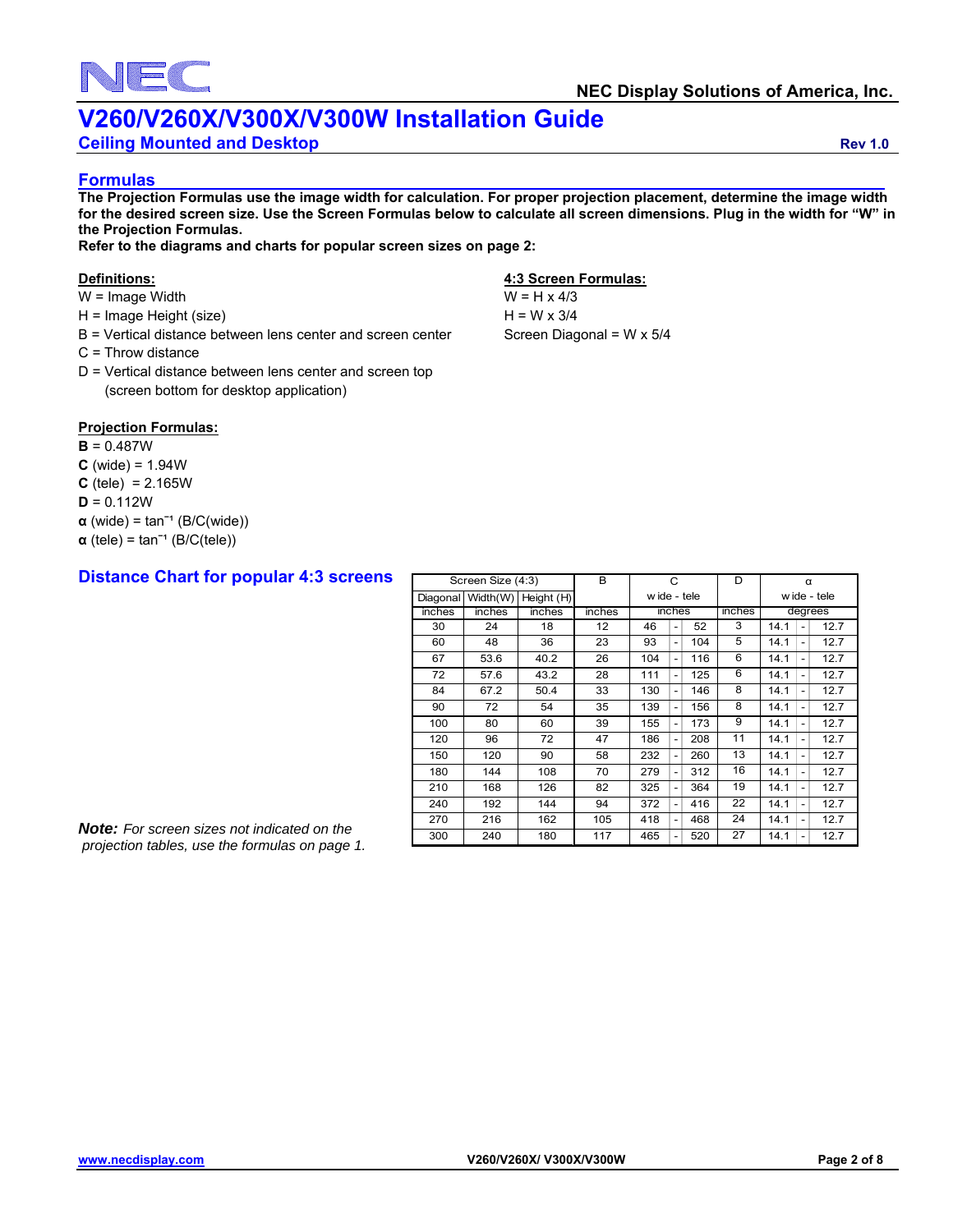

**Ceiling Mounted and Desktop Rev 1.0** 

#### **Formulas**

**The Projection Formulas use the image width for calculation. For proper projection placement, determine the image width for the desired screen size. Use the Screen Formulas below to calculate all screen dimensions. Plug in the width for "W" in the Projection Formulas.** 

**Refer to the diagrams and charts for popular screen sizes on page 2:** 

- $W = Image$  Width  $W = H \times 4/3$
- $H = \text{Image Height (size)}$   $H = W \times 3/4$
- $B$  = Vertical distance between lens center and screen center Screen Diagonal = W x  $5/4$
- C = Throw distance
- D = Vertical distance between lens center and screen top (screen bottom for desktop application)

### **Projection Formulas:**

- **B** = 0.487W
- $C$  (wide) = 1.94 $W$
- $C$  (tele) = 2.165W
- $D = 0.112W$
- $\alpha$  (wide) = tan<sup>-1</sup> (B/C(wide))
- $\alpha$  (tele) = tan<sup>-1</sup> (B/C(tele))

### **Distance Chart for popular 4:3 screens**

#### **Definitions: 4:3 Screen Formulas:**

|          | Screen Size (4:3) |            | B      | C            |                          | D      | $\alpha$ |                                          |  |  |             |
|----------|-------------------|------------|--------|--------------|--------------------------|--------|----------|------------------------------------------|--|--|-------------|
| Diagonal | Width(W)          | Height (H) |        | w ide - tele |                          |        |          |                                          |  |  | wide - tele |
| inches   | inches            | inches     | inches | inches       |                          | inches | degrees  |                                          |  |  |             |
| 30       | 24                | 18         | 12     | 46           |                          | 52     | 3        | 12.7<br>14.1                             |  |  |             |
| 60       | 48                | 36         | 23     | 93           | $\overline{\phantom{a}}$ | 104    | 5        | 12.7<br>14.1<br>$\overline{\phantom{0}}$ |  |  |             |
| 67       | 53.6              | 40.2       | 26     | 104          | -                        | 116    | 6        | 12.7<br>14.1<br>$\overline{\phantom{0}}$ |  |  |             |
| 72       | 57.6              | 43.2       | 28     | 111          | -                        | 125    | 6        | 12.7<br>14.1<br>$\qquad \qquad -$        |  |  |             |
| 84       | 67.2              | 50.4       | 33     | 130          | -                        | 146    | 8        | 12.7<br>14.1<br>$\overline{\phantom{0}}$ |  |  |             |
| 90       | 72                | 54         | 35     | 139          | -                        | 156    | 8        | 12.7<br>14.1<br>$\overline{\phantom{a}}$ |  |  |             |
| 100      | 80                | 60         | 39     | 155          | -                        | 173    | 9        | 12.7<br>14.1<br>$\overline{\phantom{a}}$ |  |  |             |
| 120      | 96                | 72         | 47     | 186          | -                        | 208    | 11       | 12.7<br>14.1<br>$\overline{\phantom{0}}$ |  |  |             |
| 150      | 120               | 90         | 58     | 232          | -                        | 260    | 13       | 14.1<br>12.7<br>$\qquad \qquad -$        |  |  |             |
| 180      | 144               | 108        | 70     | 279          | -                        | 312    | 16       | 12.7<br>14.1<br>$\overline{\phantom{0}}$ |  |  |             |
| 210      | 168               | 126        | 82     | 325          | -                        | 364    | 19       | 12.7<br>14.1<br>$\overline{\phantom{a}}$ |  |  |             |
| 240      | 192               | 144        | 94     | 372          | -                        | 416    | 22       | 12.7<br>14.1<br>-                        |  |  |             |
| 270      | 216               | 162        | 105    | 418          | -                        | 468    | 24       | 12.7<br>14.1<br>$\overline{\phantom{a}}$ |  |  |             |
| 300      | 240               | 180        | 117    | 465          |                          | 520    | 27       | 12.7<br>14.1<br>$\overline{\phantom{a}}$ |  |  |             |

*Note: For screen sizes not indicated on the projection tables, use the formulas on page 1.*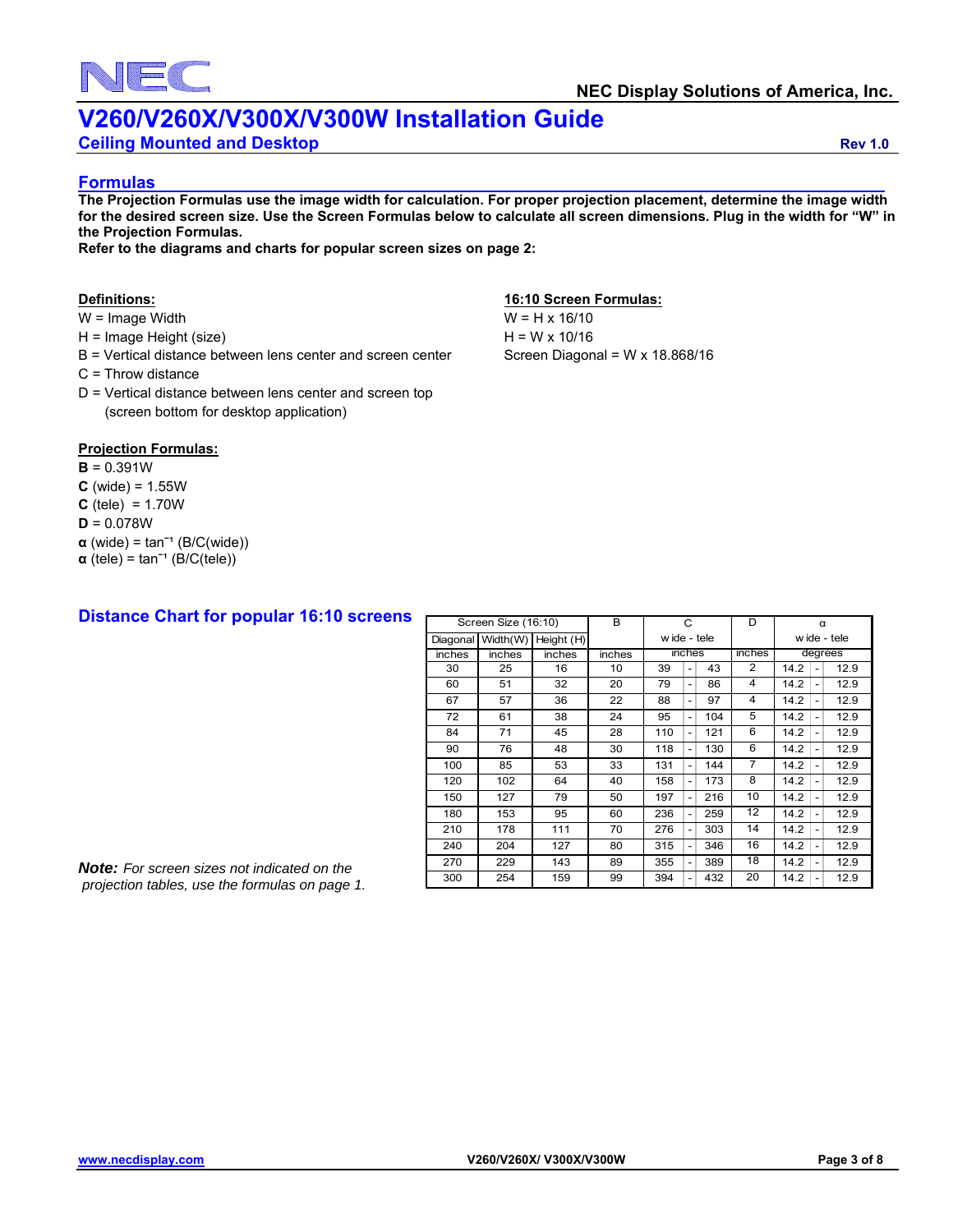

**Ceiling Mounted and Desktop Rev 1.0** 

#### **Formulas**

**The Projection Formulas use the image width for calculation. For proper projection placement, determine the image width for the desired screen size. Use the Screen Formulas below to calculate all screen dimensions. Plug in the width for "W" in the Projection Formulas.** 

**Refer to the diagrams and charts for popular screen sizes on page 2:** 

- $W = \text{Image Width}$   $W = H \times 16/10$
- $H = \text{Image Height (size)}$   $H = W \times 10/16$
- B = Vertical distance between lens center and screen center Screen Diagonal = W x 18.868/16
- C = Throw distance
- D = Vertical distance between lens center and screen top (screen bottom for desktop application)

#### **Definitions: 16:10 Screen Formulas:**

#### **Projection Formulas:**

#### $B = 0.391W$

- $C$  (wide) =  $1.55W$
- $C$  (tele) = 1.70W
- **D** = 0.078W
- $\alpha$  (wide) = tan<sup>-1</sup> (B/C(wide))
- $\alpha$  (tele) = tan<sup>-1</sup> (B/C(tele))

### **Distance Chart for popular 16:10 screens**

|          |          | Screen Size (16:10) |        | C            |                          | D      | α                       |                                          |  |  |  |  |              |
|----------|----------|---------------------|--------|--------------|--------------------------|--------|-------------------------|------------------------------------------|--|--|--|--|--------------|
| Diagonal | Width(W) | Height (H)          |        | w ide - tele |                          |        |                         |                                          |  |  |  |  | w ide - tele |
| inches   | inches   | inches              | inches | inches       |                          | inches | degrees                 |                                          |  |  |  |  |              |
| 30       | 25       | 16                  | 10     | 39           | $\overline{\phantom{0}}$ | 43     | 2                       | 12.9<br>14.2<br>$\overline{a}$           |  |  |  |  |              |
| 60       | 51       | 32                  | 20     | 79           | $\overline{\phantom{0}}$ | 86     | 4                       | 12.9<br>14.2<br>$\overline{\phantom{0}}$ |  |  |  |  |              |
| 67       | 57       | 36                  | 22     | 88           | $\overline{\phantom{0}}$ | 97     | $\overline{\mathbf{4}}$ | 12.9<br>14.2<br>$\overline{\phantom{0}}$ |  |  |  |  |              |
| 72       | 61       | 38                  | 24     | 95           | $\overline{\phantom{0}}$ | 104    | 5                       | 12.9<br>14.2<br>$\overline{\phantom{0}}$ |  |  |  |  |              |
| 84       | 71       | 45                  | 28     | 110          | -                        | 121    | 6                       | 12.9<br>14.2<br>$\overline{\phantom{0}}$ |  |  |  |  |              |
| 90       | 76       | 48                  | 30     | 118          | -                        | 130    | 6                       | 12.9<br>14.2<br>$\overline{\phantom{0}}$ |  |  |  |  |              |
| 100      | 85       | 53                  | 33     | 131          | -                        | 144    | $\overline{7}$          | 12.9<br>14.2<br>$\overline{\phantom{0}}$ |  |  |  |  |              |
| 120      | 102      | 64                  | 40     | 158          | $\overline{\phantom{0}}$ | 173    | 8                       | 12.9<br>14.2<br>$\overline{\phantom{0}}$ |  |  |  |  |              |
| 150      | 127      | 79                  | 50     | 197          | $\overline{\phantom{0}}$ | 216    | 10                      | 12.9<br>14.2<br>$\overline{\phantom{0}}$ |  |  |  |  |              |
| 180      | 153      | 95                  | 60     | 236          | $\overline{\phantom{0}}$ | 259    | 12                      | 12.9<br>14.2<br>$\overline{a}$           |  |  |  |  |              |
| 210      | 178      | 111                 | 70     | 276          | $\overline{\phantom{0}}$ | 303    | 14                      | 14.2<br>12.9<br>$\qquad \qquad -$        |  |  |  |  |              |
| 240      | 204      | 127                 | 80     | 315          | $\overline{\phantom{0}}$ | 346    | 16                      | 12.9<br>14.2<br>$\overline{\phantom{0}}$ |  |  |  |  |              |
| 270      | 229      | 143                 | 89     | 355          | $\overline{\phantom{0}}$ | 389    | 18                      | 12.9<br>14.2<br>$\overline{\phantom{0}}$ |  |  |  |  |              |
| 300      | 254      | 159                 | 99     | 394          | $\overline{\phantom{0}}$ | 432    | 20                      | 12.9<br>14.2<br>$\overline{\phantom{0}}$ |  |  |  |  |              |

<sup>20</sup> *Note: For screen sizes not indicated on the projection tables, use the formulas on page 1.*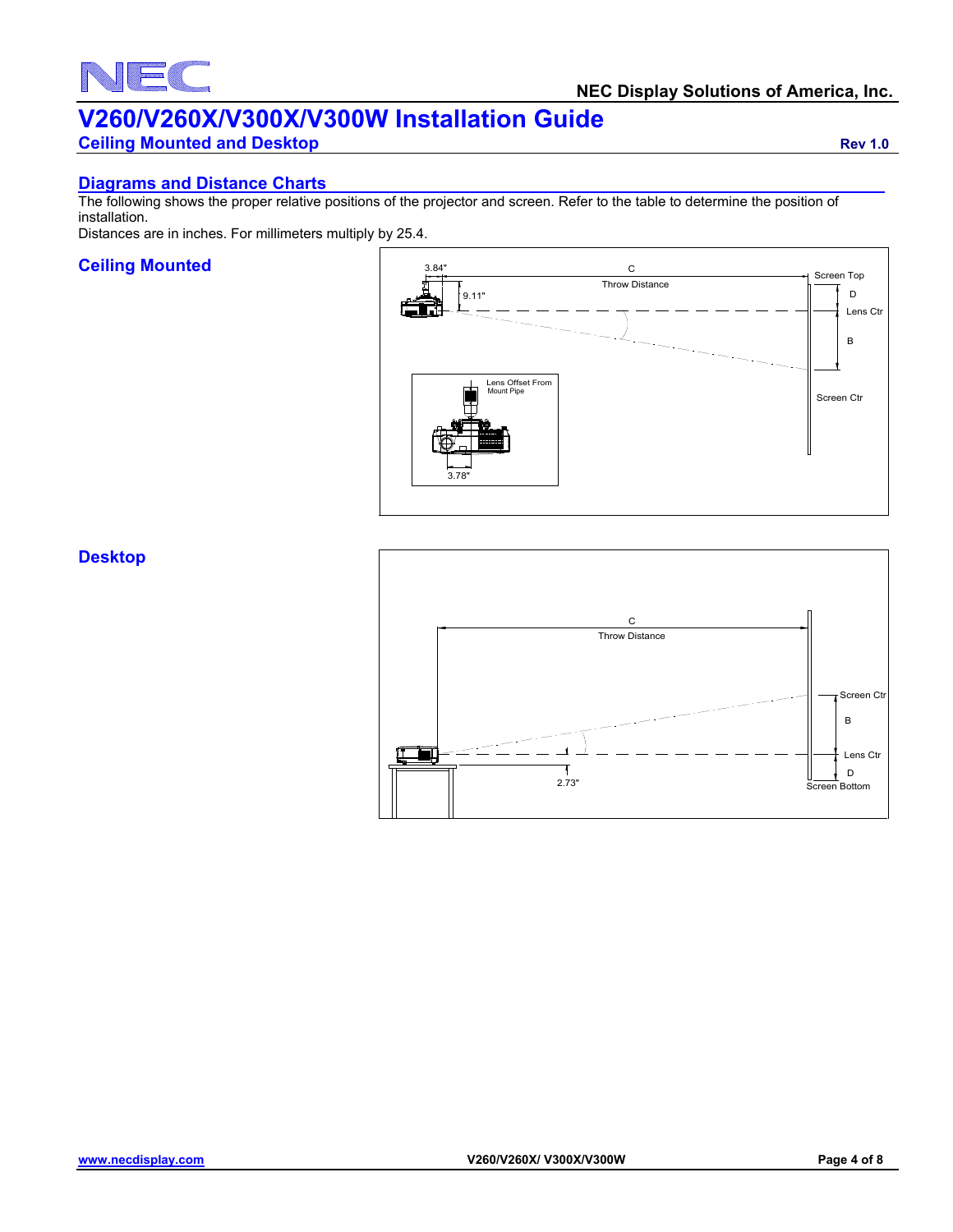### EC N

## **V260/V260X/V300X/V300W Installation Guide**

**Ceiling Mounted and Desktop Rev 1.0 Rev 1.0** 

### **Diagrams and Distance Charts**

The following shows the proper relative positions of the projector and screen. Refer to the table to determine the position of installation.

Distances are in inches. For millimeters multiply by 25.4.

### **Ceiling Mounted**



### **Desktop**

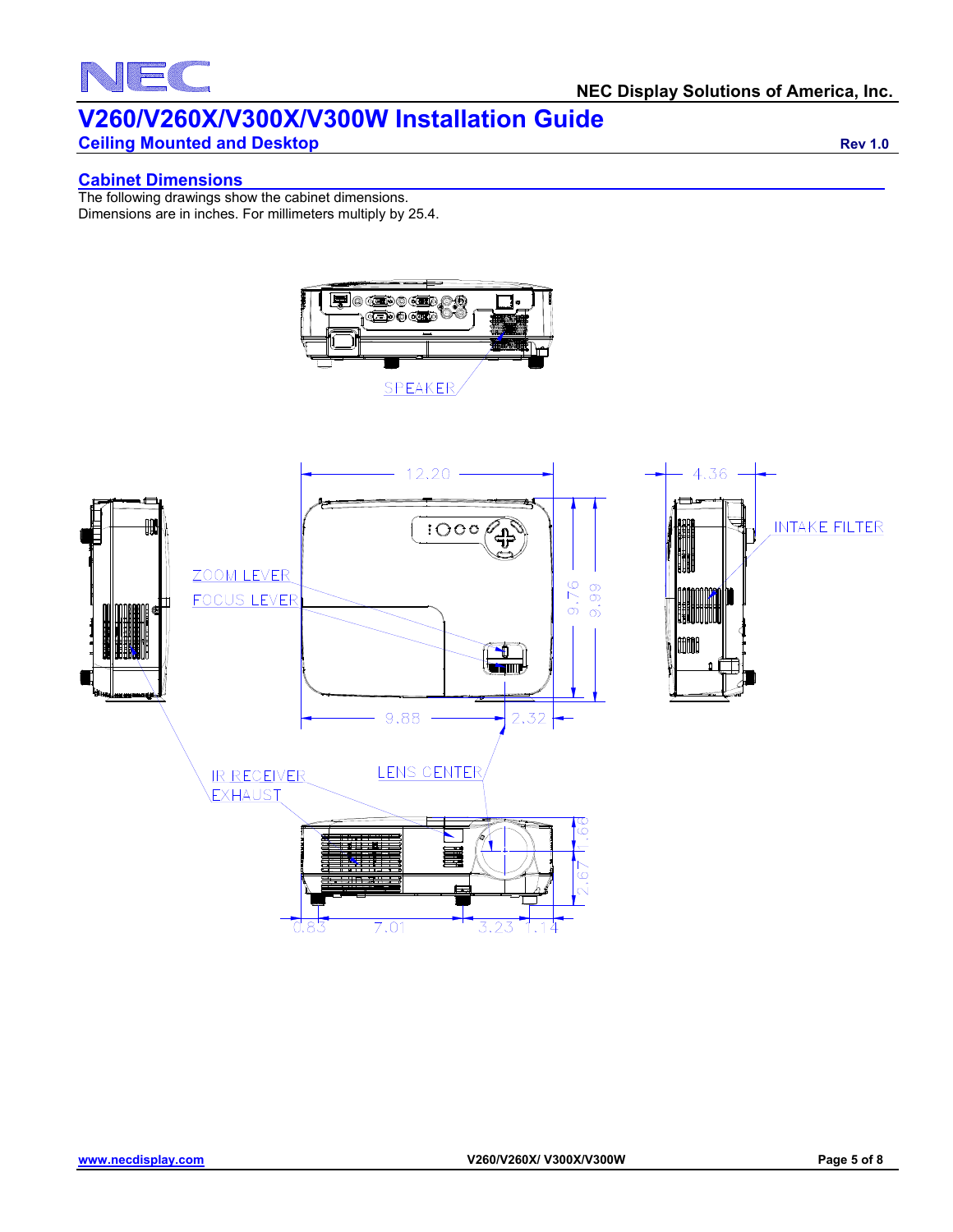# NEC

## **V260/V260X/V300X/V300W Installation Guide**

**Ceiling Mounted and Desktop Rev 1.0 Ceiling Mounted and Desktop Rev 1.0** 

### **Cabinet Dimensions**

The following drawings show the cabinet dimensions. Dimensions are in inches. For millimeters multiply by 25.4.



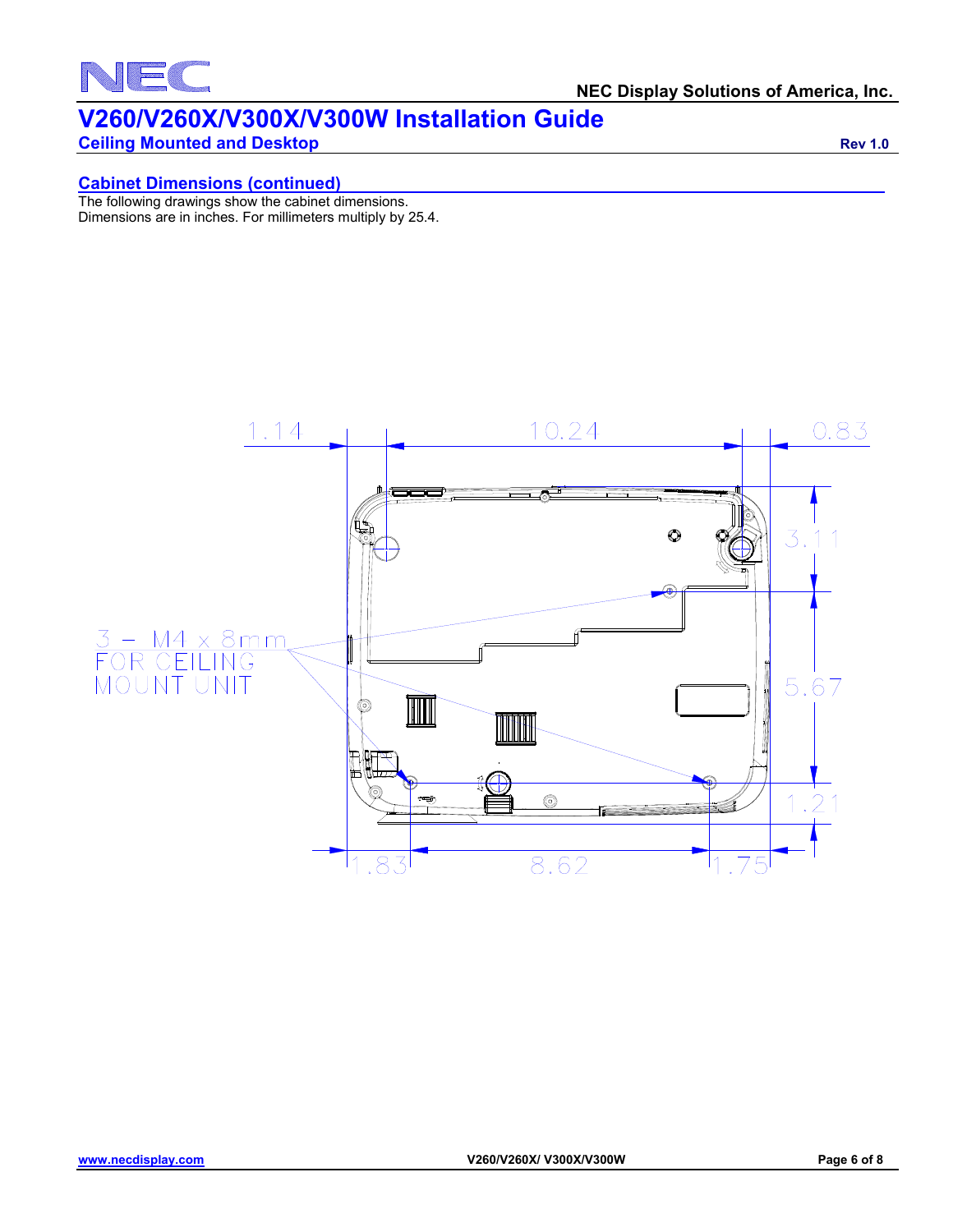

**Ceiling Mounted and Desktop Rev 1.0 Rev 1.0** 

### **Cabinet Dimensions (continued)**

The following drawings show the cabinet dimensions. Dimensions are in inches. For millimeters multiply by 25.4.

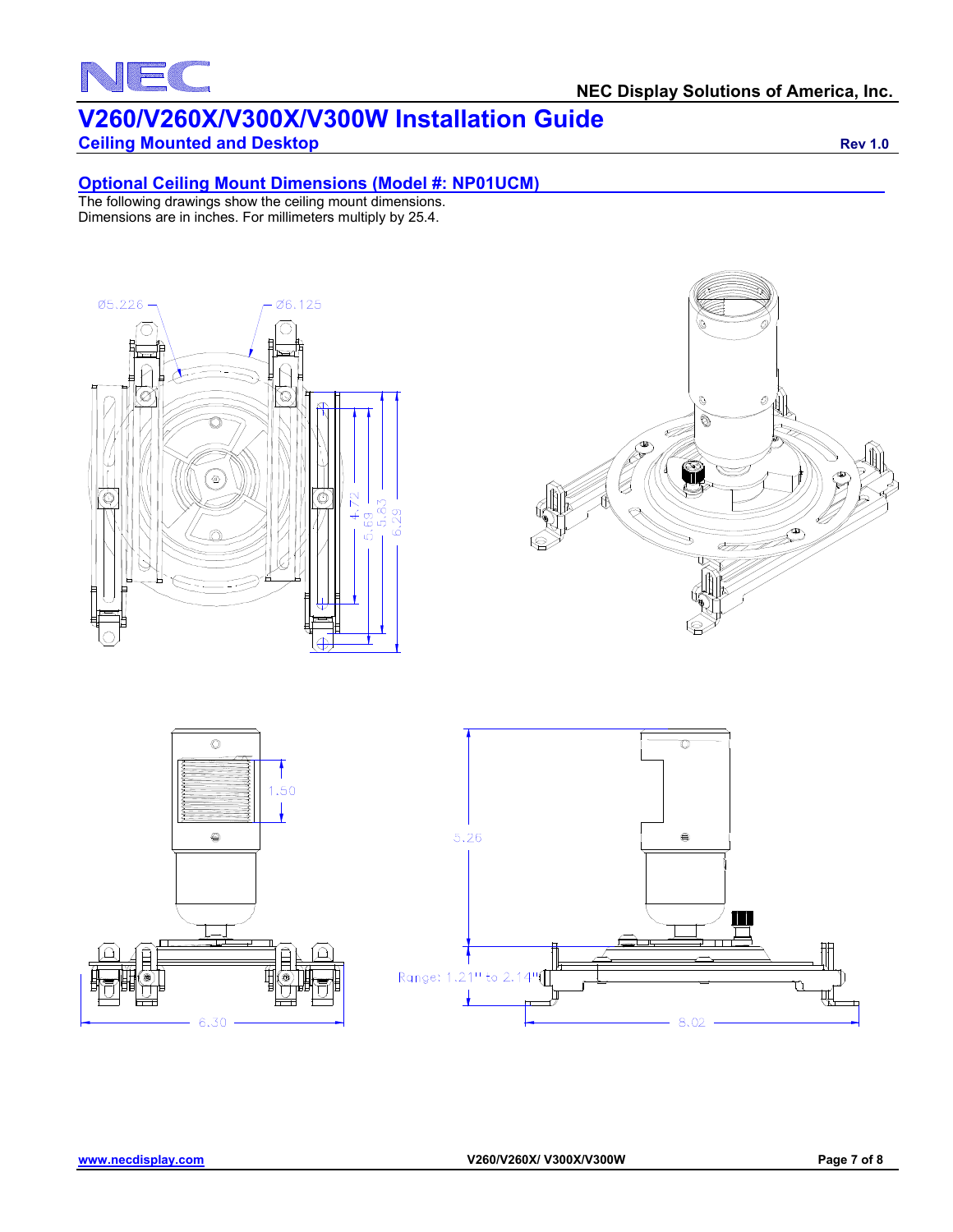# NEC

### **V260/V260X/V300X/V300W Installation Guide**

### **Ceiling Mounted and Desktop Rev 1.0 Rev 1.0**

### **Optional Ceiling Mount Dimensions (Model #: NP01UCM)**

The following drawings show the ceiling mount dimensions. Dimensions are in inches. For millimeters multiply by 25.4.